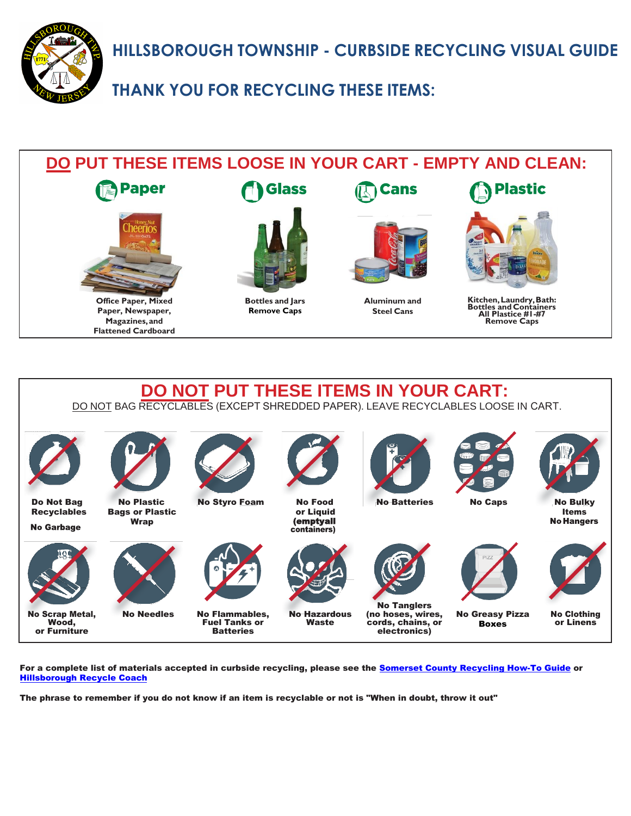**HILLSBOROUGH TOWNSHIP - CURBSIDE RECYCLING VISUAL GUIDE** 



**THANK YOU FOR RECYCLING THESE ITEMS:**

# **DO PUT THESE ITEMS LOOSE IN YOUR CART - EMPTY AND CLEAN: Paper Glass Plastic Cans Office Paper, Mixed Bottles and Jars Aluminum and Kitchen, Laundry, Bath: Bottles and Containers All Plastice #1-#7 Remove Caps Paper, Newspaper, Remove Caps Steel Cans Magazines, and Flattened Cardboard**



For a complete list of materials accepted in curbside recycling, please see the [Somerset County Recycling How-To Guide](https://www.co.somerset.nj.us/home/showdocument?id=31951) or [Hillsborough Recycle Coach](https://www.co.somerset.nj.us/government/public-works/recycling/recycle-coach)

The phrase to remember if you do not know if an item is recyclable or not is "When in doubt, throw it out"